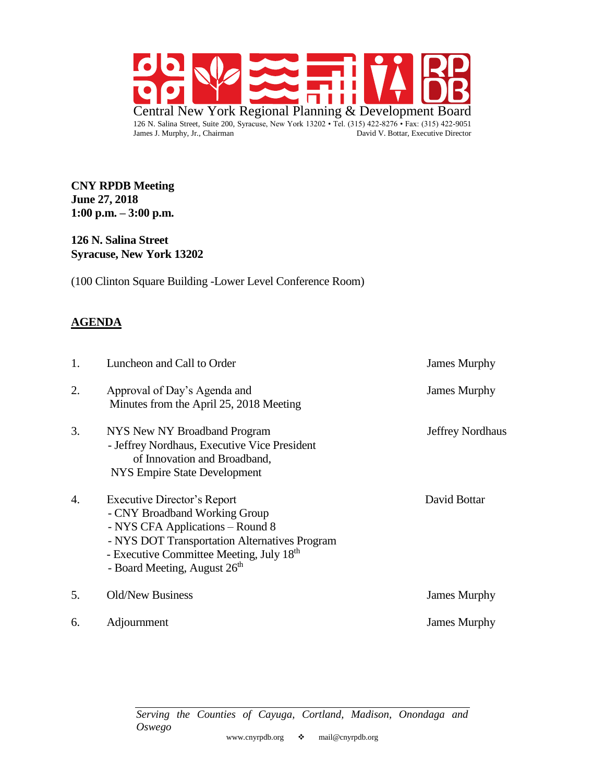

**CNY RPDB Meeting June 27, 2018 1:00 p.m. – 3:00 p.m.**

**126 N. Salina Street Syracuse, New York 13202**

(100 Clinton Square Building -Lower Level Conference Room)

#### **AGENDA**

| 1. | Luncheon and Call to Order                                                                                                                                                                                                                            | <b>James Murphy</b>     |
|----|-------------------------------------------------------------------------------------------------------------------------------------------------------------------------------------------------------------------------------------------------------|-------------------------|
| 2. | Approval of Day's Agenda and<br>Minutes from the April 25, 2018 Meeting                                                                                                                                                                               | <b>James Murphy</b>     |
| 3. | NYS New NY Broadband Program<br>- Jeffrey Nordhaus, Executive Vice President<br>of Innovation and Broadband,<br>NYS Empire State Development                                                                                                          | <b>Jeffrey Nordhaus</b> |
| 4. | Executive Director's Report<br>- CNY Broadband Working Group<br>- NYS CFA Applications - Round 8<br>- NYS DOT Transportation Alternatives Program<br>- Executive Committee Meeting, July 18 <sup>th</sup><br>- Board Meeting, August 26 <sup>th</sup> | David Bottar            |
| 5. | <b>Old/New Business</b>                                                                                                                                                                                                                               | <b>James Murphy</b>     |
| 6. | Adjournment                                                                                                                                                                                                                                           | <b>James Murphy</b>     |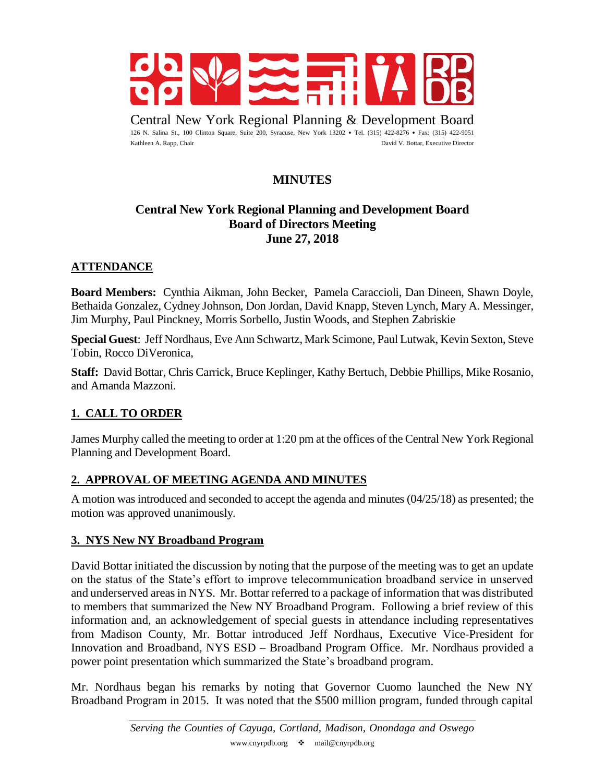

Central New York Regional Planning & Development Board 126 N. Salina St., 100 Clinton Square, Suite 200, Syracuse, New York 13202 • Tel. (315) 422-8276 • Fax: (315) 422-9051 Kathleen A. Rapp, Chair David V. Bottar, Executive Director

# **MINUTES**

# **Central New York Regional Planning and Development Board Board of Directors Meeting June 27, 2018**

### **ATTENDANCE**

**Board Members:** Cynthia Aikman, John Becker, Pamela Caraccioli, Dan Dineen, Shawn Doyle, Bethaida Gonzalez, Cydney Johnson, Don Jordan, David Knapp, Steven Lynch, Mary A. Messinger, Jim Murphy, Paul Pinckney, Morris Sorbello, Justin Woods, and Stephen Zabriskie

**Special Guest**: Jeff Nordhaus, Eve Ann Schwartz, Mark Scimone, Paul Lutwak, Kevin Sexton, Steve Tobin, Rocco DiVeronica,

**Staff:** David Bottar, Chris Carrick, Bruce Keplinger, Kathy Bertuch, Debbie Phillips, Mike Rosanio, and Amanda Mazzoni.

### **1. CALL TO ORDER**

James Murphy called the meeting to order at 1:20 pm at the offices of the Central New York Regional Planning and Development Board.

### **2. APPROVAL OF MEETING AGENDA AND MINUTES**

A motion was introduced and seconded to accept the agenda and minutes (04/25/18) as presented; the motion was approved unanimously.

#### **3. NYS New NY Broadband Program**

David Bottar initiated the discussion by noting that the purpose of the meeting was to get an update on the status of the State's effort to improve telecommunication broadband service in unserved and underserved areas in NYS. Mr. Bottar referred to a package of information that was distributed to members that summarized the New NY Broadband Program. Following a brief review of this information and, an acknowledgement of special guests in attendance including representatives from Madison County, Mr. Bottar introduced Jeff Nordhaus, Executive Vice-President for Innovation and Broadband, NYS ESD – Broadband Program Office. Mr. Nordhaus provided a power point presentation which summarized the State's broadband program.

Mr. Nordhaus began his remarks by noting that Governor Cuomo launched the New NY Broadband Program in 2015. It was noted that the \$500 million program, funded through capital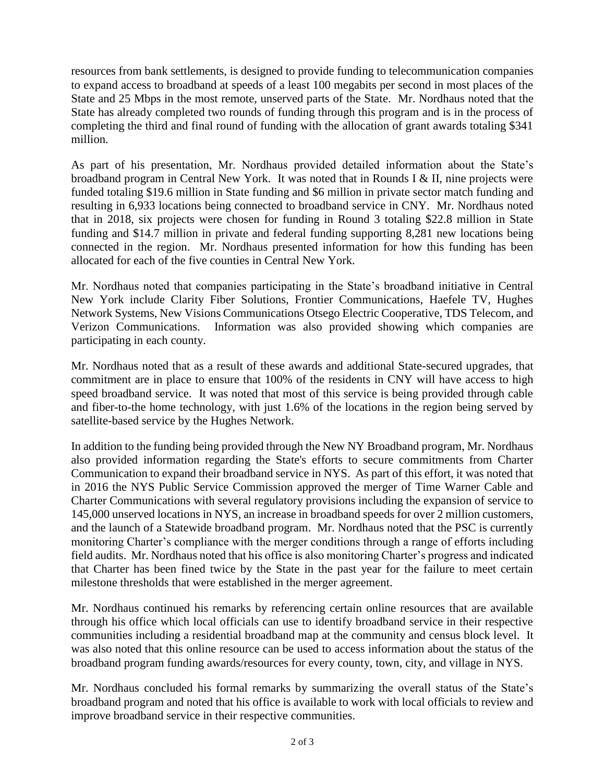resources from bank settlements, is designed to provide funding to telecommunication companies to expand access to broadband at speeds of a least 100 megabits per second in most places of the State and 25 Mbps in the most remote, unserved parts of the State. Mr. Nordhaus noted that the State has already completed two rounds of funding through this program and is in the process of completing the third and final round of funding with the allocation of grant awards totaling \$341 million.

As part of his presentation, Mr. Nordhaus provided detailed information about the State's broadband program in Central New York. It was noted that in Rounds I & II, nine projects were funded totaling \$19.6 million in State funding and \$6 million in private sector match funding and resulting in 6,933 locations being connected to broadband service in CNY. Mr. Nordhaus noted that in 2018, six projects were chosen for funding in Round 3 totaling \$22.8 million in State funding and \$14.7 million in private and federal funding supporting 8,281 new locations being connected in the region. Mr. Nordhaus presented information for how this funding has been allocated for each of the five counties in Central New York.

Mr. Nordhaus noted that companies participating in the State's broadband initiative in Central New York include Clarity Fiber Solutions, Frontier Communications, Haefele TV, Hughes Network Systems, New Visions Communications Otsego Electric Cooperative, TDS Telecom, and Verizon Communications. Information was also provided showing which companies are participating in each county.

Mr. Nordhaus noted that as a result of these awards and additional State-secured upgrades, that commitment are in place to ensure that 100% of the residents in CNY will have access to high speed broadband service. It was noted that most of this service is being provided through cable and fiber-to-the home technology, with just 1.6% of the locations in the region being served by satellite-based service by the Hughes Network.

In addition to the funding being provided through the New NY Broadband program, Mr. Nordhaus also provided information regarding the State's efforts to secure commitments from Charter Communication to expand their broadband service in NYS. As part of this effort, it was noted that in 2016 the NYS Public Service Commission approved the merger of Time Warner Cable and Charter Communications with several regulatory provisions including the expansion of service to 145,000 unserved locations in NYS, an increase in broadband speeds for over 2 million customers, and the launch of a Statewide broadband program. Mr. Nordhaus noted that the PSC is currently monitoring Charter's compliance with the merger conditions through a range of efforts including field audits. Mr. Nordhaus noted that his office is also monitoring Charter's progress and indicated that Charter has been fined twice by the State in the past year for the failure to meet certain milestone thresholds that were established in the merger agreement.

Mr. Nordhaus continued his remarks by referencing certain online resources that are available through his office which local officials can use to identify broadband service in their respective communities including a residential broadband map at the community and census block level. It was also noted that this online resource can be used to access information about the status of the broadband program funding awards/resources for every county, town, city, and village in NYS.

Mr. Nordhaus concluded his formal remarks by summarizing the overall status of the State's broadband program and noted that his office is available to work with local officials to review and improve broadband service in their respective communities.